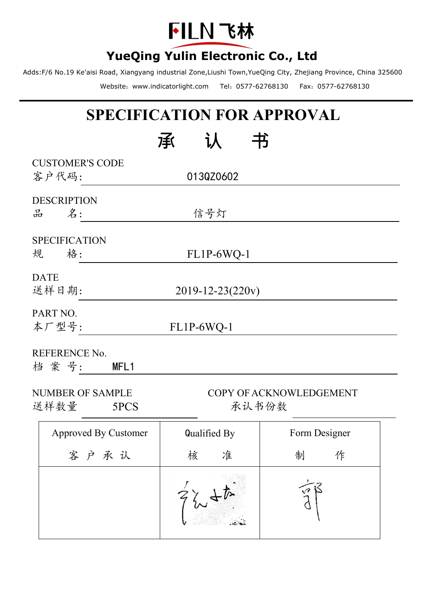

Adds:F/6 No.19 Ke'aisi Road, Xiangyang industrial Zone,Liushi Town,YueQing City, Zhejiang Province, China 325600 Website:www.indicatorlight.com Tel:0577-62768130 Fax:0577-62768130

# **SPECIFICATION FOR APPROVAL**

|             |                                 | 书<br>承           |                         |
|-------------|---------------------------------|------------------|-------------------------|
|             | <b>CUSTOMER'S CODE</b><br>客户代码: | 013QZ0602        |                         |
|             | <b>DESCRIPTION</b>              |                  |                         |
| 品           | 名:                              | 信号灯              |                         |
| 规           | <b>SPECIFICATION</b><br>格:      | FL1P-6WQ-1       |                         |
| <b>DATE</b> | 送样日期:                           | 2019-12-23(220v) |                         |
| PART NO.    | 本厂型号:                           | FL1P-6WQ-1       |                         |
|             | REFERENCE No.<br>档案号:<br>MFL1   |                  |                         |
| 送样数量        | NUMBER OF SAMPLE<br>5PCS        | 承认书份数            | COPY OF ACKNOWLEDGEMENT |
|             | <b>Approved By Customer</b>     | Qualified By     | Form Designer           |
|             | 客户承认                            | 准<br>核           | 作<br>制                  |
|             |                                 | $\mathbf{r}$     | $\lambda$               |

 $727 + 6$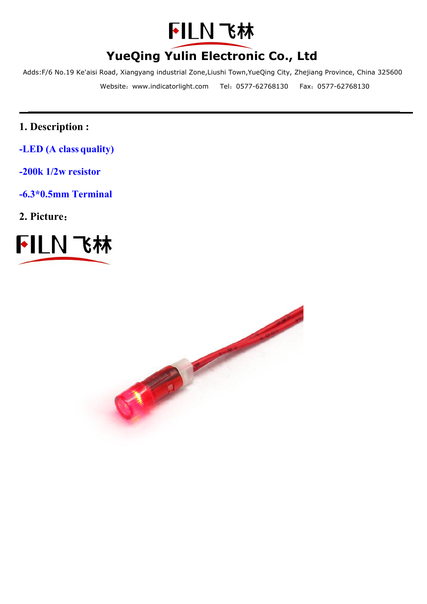

Adds:F/6 No.19 Ke'aisi Road, Xiangyang industrial Zone,Liushi Town,YueQing City, Zhejiang Province, China 325600 Website:www.indicatorlight.com Tel:0577-62768130 Fax:0577-62768130

- **1. Description :**
- **-LED (A class quality)**
- **-200k 1/2w resistor**
- **-6.3\*0.5mm Terminal**
- **2. Picture**:



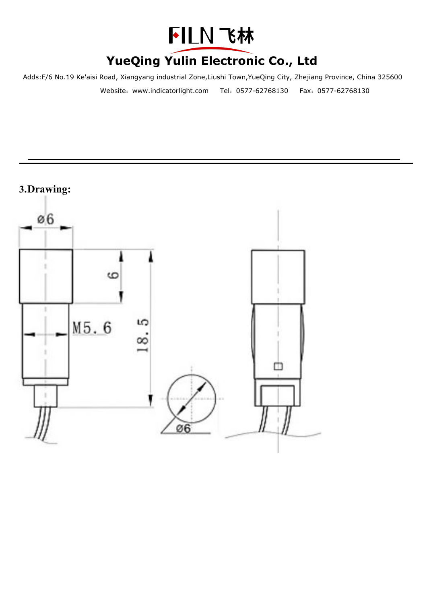

Adds:F/6 No.19 Ke'aisi Road, Xiangyang industrial Zone,Liushi Town,YueQing City, Zhejiang Province, China 325600 Website:www.indicatorlight.com Tel:0577-62768130 Fax:0577-62768130

### **3.Drawing:**

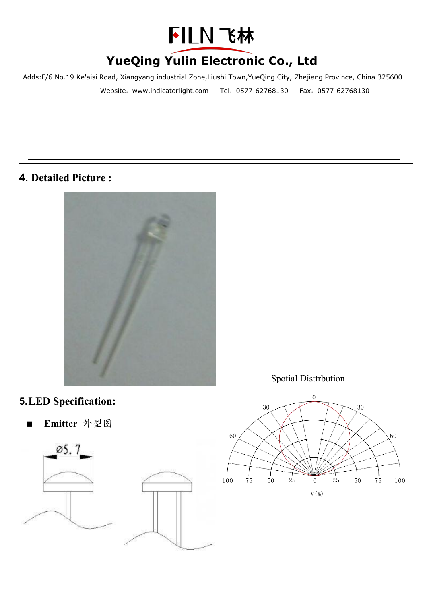

Adds:F/6 No.19 Ke'aisi Road, Xiangyang industrial Zone,Liushi Town,YueQing City, Zhejiang Province, China 325600 Website:www.indicatorlight.com Tel:0577-62768130 Fax:0577-62768130

### **4. Detailed Picture :**



### Spotial Disttrbution



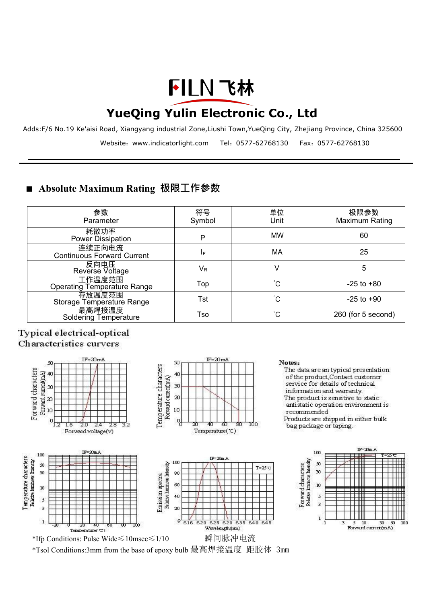# FILN 飞林

## **YueQing Yulin Electronic Co., Ltd**

Adds:F/6 No.19 Ke'aisi Road, Xiangyang industrial Zone,Liushi Town,YueQing City, Zhejiang Province, China 325600 Website:www.indicatorlight.com Tel:0577-62768130 Fax:0577-62768130

### ■ **Absolute Maximum Rating 极限工作参数**

| 参数                                           | 符号      | 单位        | 极限参数               |
|----------------------------------------------|---------|-----------|--------------------|
| Parameter                                    | Symbol  | Unit      | Maximum Rating     |
| 耗散功率<br>Power Dissipation                    | P       | <b>MW</b> | 60                 |
| 连续正向电流<br><b>Continuous Forward Current</b>  | IF.     | МA        | 25                 |
| 反向电压<br>Reverse Voltage                      | $V_{R}$ |           |                    |
| 工作温度范围<br><b>Operating Temperature Range</b> | Top     | Ć         | $-25$ to $+80$     |
| 存放温度范围<br>Storage Temperature Range          | Tst     | °C        | $-25$ to $+90$     |
| 最高焊接温度<br><b>Soldering Temperature</b>       | Tso     | °C        | 260 (for 5 second) |

#### Typical electrical-optical Characteristics curvers



\*Tsol Conditions:3mm from the base of epoxy bulb 最高焊接温度 距胶体 3mm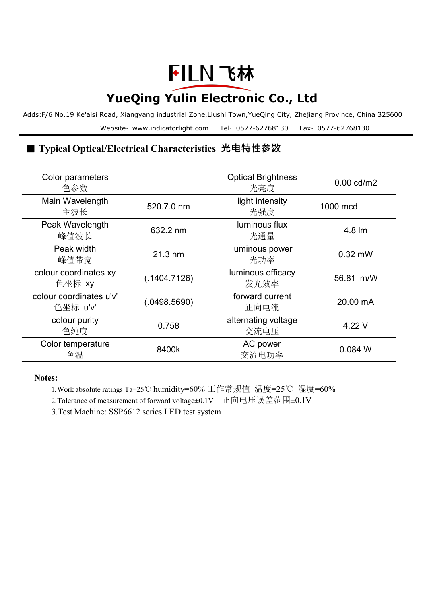# FILN 飞林

# **YueQing Yulin Electronic Co., Ltd**

Adds:F/6 No.19 Ke'aisi Road, Xiangyang industrial Zone,Liushi Town,YueQing City, Zhejiang Province, China 325600 Website:www.indicatorlight.com Tel:0577-62768130 Fax:0577-62768130

### ■ **Typical Optical/Electrical Characteristics 光电特性参数**

| Color parameters<br>色参数             |                   | <b>Optical Brightness</b><br>光亮度 | $0.00$ cd/m2 |  |
|-------------------------------------|-------------------|----------------------------------|--------------|--|
| Main Wavelength<br>主波长              | 520.7.0 nm        | light intensity<br>光强度           | 1000 mcd     |  |
| Peak Wavelength<br>峰值波长             | 632.2 nm          | luminous flux<br>光通量             | 4.8 lm       |  |
| Peak width<br>峰值带宽                  | $21.3 \text{ nm}$ | luminous power<br>光功率            | $0.32$ mW    |  |
| colour coordinates xy<br>色坐标 xy     | (.1404.7126)      | luminous efficacy<br>发光效率        | 56.81 lm/W   |  |
| colour coordinates u'v'<br>色坐标 u'v' | (.0498.5690)      | forward current<br>正向电流          | 20.00 mA     |  |
| colour purity<br>色纯度                | 0.758             | alternating voltage<br>交流电压      | 4.22 V       |  |
| Color temperature<br>色温             | 8400k             | AC power<br>交流电功率                | 0.084 W      |  |

**Notes:**

1.Work absolute ratings Ta=25℃ humidity=60% 工作常规值 温度=25℃ 湿度=60%

2.Tolerance of measurement offorward voltage±0.1V 正向电压误差范围±0.1V

3.Test Machine: SSP6612 series LED test system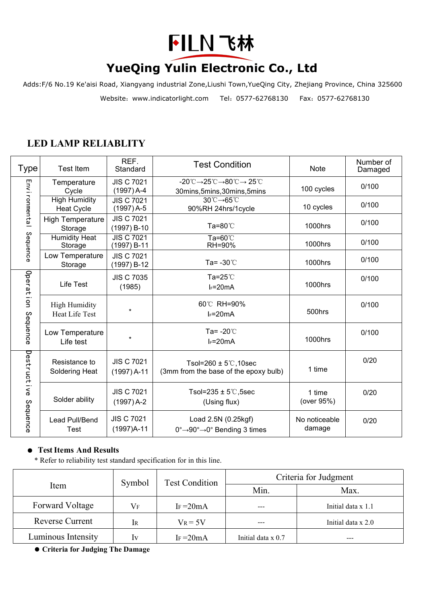

Adds:F/6 No.19 Ke'aisi Road, Xiangyang industrial Zone,Liushi Town,YueQing City, Zhejiang Province, China 325600 Website:www.indicatorlight.com Tel:0577-62768130 Fax:0577-62768130

### **LED LAMP RELIABLITY**

| Type                      | <b>Test Item</b>                              | REF.<br>Standard                   | <b>Test Condition</b>                                                                                                                              | <b>Note</b>             | Number of<br>Damaged |
|---------------------------|-----------------------------------------------|------------------------------------|----------------------------------------------------------------------------------------------------------------------------------------------------|-------------------------|----------------------|
| Environmental             | Temperature<br>Cycle                          | <b>JIS C 7021</b><br>$(1997)$ A-4  | $-20^{\circ}\text{C} \rightarrow 25^{\circ}\text{C} \rightarrow 80^{\circ}\text{C} \rightarrow 25^{\circ}\text{C}$<br>30mins, 5mins, 30mins, 5mins | 100 cycles              | 0/100                |
|                           | <b>High Humidity</b><br><b>Heat Cycle</b>     | <b>JIS C 7021</b><br>$(1997)$ A-5  | 30℃→65℃<br>90%RH 24hrs/1cycle                                                                                                                      | 10 cycles               | 0/100                |
|                           | <b>High Temperature</b><br>Storage            | <b>JIS C 7021</b><br>$(1997) B-10$ | Ta=80℃                                                                                                                                             | 1000hrs                 | 0/100                |
| Sequence                  | <b>Humidity Heat</b><br>Storage               | <b>JIS C 7021</b><br>(1997) B-11   | Ta=60℃<br>RH=90%                                                                                                                                   | 1000hrs                 | 0/100                |
|                           | Low Temperature<br>Storage                    | <b>JIS C 7021</b><br>$(1997) B-12$ | Ta= $-30^{\circ}$ C                                                                                                                                | 1000hrs                 | 0/100                |
| Operati<br>on<br>Sequence | Life Test                                     | <b>JIS C 7035</b><br>(1985)        | Ta= $25^{\circ}$ C<br>$I_F = 20mA$                                                                                                                 | 1000hrs                 | 0/100                |
|                           | <b>High Humidity</b><br><b>Heat Life Test</b> | $\ddot{\phantom{a}}$               | 60°C RH=90%<br>$I_F = 20mA$                                                                                                                        | 500hrs                  | 0/100                |
|                           | Low Temperature<br>Life test                  | $\star$                            | Ta= $-20^{\circ}$ C<br>$I_F = 20mA$                                                                                                                | 1000hrs                 | 0/100                |
| Destructive<br>Sequence   | Resistance to<br>Soldering Heat               | <b>JIS C 7021</b><br>$(1997)$ A-11 | Tsol=260 $\pm$ 5°C, 10sec<br>(3mm from the base of the epoxy bulb)                                                                                 | 1 time                  | 0/20                 |
|                           | Solder ability                                | <b>JIS C 7021</b><br>$(1997)$ A-2  | Tsol=235 $\pm$ 5°C, 5sec<br>(Using flux)                                                                                                           | 1 time<br>(over 95%)    | 0/20                 |
|                           | Lead Pull/Bend<br><b>Test</b>                 | <b>JIS C 7021</b><br>$(1997)A-11$  | Load 2.5N (0.25kgf)<br>$0^\circ \rightarrow 90^\circ \rightarrow 0^\circ$ Bending 3 times                                                          | No noticeable<br>damage | 0/20                 |

#### ● **TestItems And Results**

\* Refer to reliability test standard specification for in this line.

|                        | Symbol    | <b>Test Condition</b> | Criteria for Judgment |                      |  |
|------------------------|-----------|-----------------------|-----------------------|----------------------|--|
| Item                   |           |                       | Min.                  | Max.                 |  |
| Forward Voltage        | $\rm V_F$ | IF $=20mA$            | ---                   | Initial data x 1.1   |  |
| <b>Reverse Current</b> | Ir        | $V_R = 5V$            | $---$                 | Initial data $x$ 2.0 |  |
| Luminous Intensity     | Iv        | IF= $20mA$            | Initial data x 0.7    | $- - -$              |  |

**Criteria for Judging The Damage**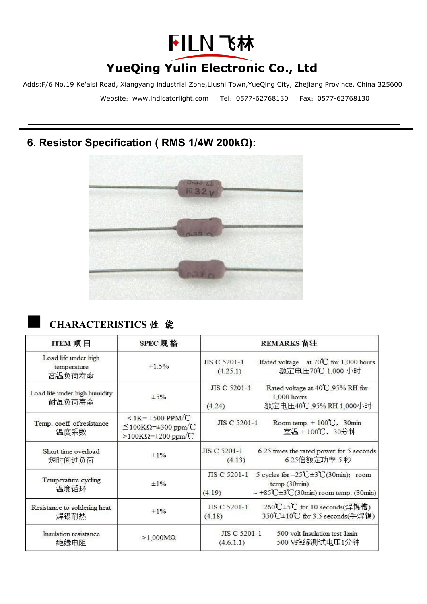

Adds:F/6 No.19 Ke'aisi Road, Xiangyang industrial Zone,Liushi Town,YueQing City, Zhejiang Province, China 325600 Website:www.indicatorlight.com Tel:0577-62768130 Fax:0577-62768130

### **6. Resistor Specification ( RMS 1/4W 200kΩ):**



### ■ **CHARACTERISTICS** <sup>性</sup> <sup>能</sup>

| ITEM 项目                                       | SPEC 规格                                                                                                        | REMARKS 备注                                                                                                                                                        |  |  |  |
|-----------------------------------------------|----------------------------------------------------------------------------------------------------------------|-------------------------------------------------------------------------------------------------------------------------------------------------------------------|--|--|--|
| Load life under high<br>temperature<br>高温负荷寿命 | ±1.5%                                                                                                          | Rated voltage at 70℃ for 1,000 hours<br>JIS C 5201-1<br>额定电压70℃ 1,000 小时<br>(4.25.1)                                                                              |  |  |  |
| Load life under high humidity<br>耐湿负荷寿命       | $\pm$ 5%                                                                                                       | Rated voltage at 40°C,95% RH for<br>JIS C 5201-1<br>1,000 hours<br>额定电压40℃.95% RH 1.000小时<br>(4.24)                                                               |  |  |  |
| Temp. coeff of resistance<br>温度系数             | $\leq$ 1K= $\pm$ 500 PPM/C<br>$\leq$ 100KΩ= $\pm$ 300 ppm $\degree$ C<br>$>100K\Omega=\pm 200$ ppm $^{\circ}C$ | JIS C 5201-1<br>Room temp. $+100^\circ\text{C}$ , 30min<br>室温 + 100℃,30分钟                                                                                         |  |  |  |
| Short time overload<br>短时间过负荷                 | ±1%                                                                                                            | JIS C 5201-1<br>6.25 times the rated power for 5 seconds<br>6.25倍额定功率 5 秒<br>(4.13)                                                                               |  |  |  |
| Temperature cycling<br>温度循环                   | $\pm 1\%$                                                                                                      | 5 cycles for $-25^{\circ}\text{C} \pm 3^{\circ}\text{C}$ (30min); room<br>JIS C 5201-1<br>temp.(30min)<br>$\sim$ +85°C ± 3°C (30min) room temp. (30min)<br>(4.19) |  |  |  |
| Resistance to soldering heat<br>焊锡耐热          | $\pm 1\%$                                                                                                      | 260℃±5℃ for 10 seconds(焊锡槽)<br>JIS C 5201-1<br>350℃±10℃ for 3.5 seconds(手焊锡)<br>(4.18)                                                                            |  |  |  |
| Insulation resistance<br>绝缘电阻                 | $>1,000M\Omega$                                                                                                | JIS C 5201-1<br>500 volt Insulation test 1min<br>500 V绝缘测试电压1分钟<br>(4.6.1.1)                                                                                      |  |  |  |